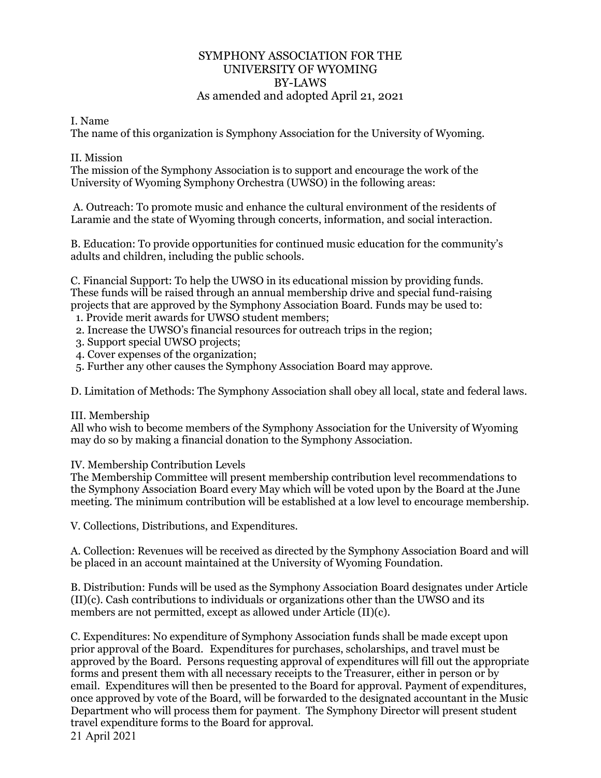# SYMPHONY ASSOCIATION FOR THE UNIVERSITY OF WYOMING BY-LAWS As amended and adopted April 21, 2021

#### I. Name

The name of this organization is Symphony Association for the University of Wyoming.

## II. Mission

The mission of the Symphony Association is to support and encourage the work of the University of Wyoming Symphony Orchestra (UWSO) in the following areas:

A. Outreach: To promote music and enhance the cultural environment of the residents of Laramie and the state of Wyoming through concerts, information, and social interaction.

B. Education: To provide opportunities for continued music education for the community's adults and children, including the public schools.

C. Financial Support: To help the UWSO in its educational mission by providing funds. These funds will be raised through an annual membership drive and special fund-raising projects that are approved by the Symphony Association Board. Funds may be used to: 1. Provide merit awards for UWSO student members;

- 2. Increase the UWSO's financial resources for outreach trips in the region;
- 3. Support special UWSO projects;
- 4. Cover expenses of the organization;
- 5. Further any other causes the Symphony Association Board may approve.

D. Limitation of Methods: The Symphony Association shall obey all local, state and federal laws.

## III. Membership

All who wish to become members of the Symphony Association for the University of Wyoming may do so by making a financial donation to the Symphony Association.

IV. Membership Contribution Levels

The Membership Committee will present membership contribution level recommendations to the Symphony Association Board every May which will be voted upon by the Board at the June meeting. The minimum contribution will be established at a low level to encourage membership.

V. Collections, Distributions, and Expenditures.

A. Collection: Revenues will be received as directed by the Symphony Association Board and will be placed in an account maintained at the University of Wyoming Foundation.

B. Distribution: Funds will be used as the Symphony Association Board designates under Article (II)(c). Cash contributions to individuals or organizations other than the UWSO and its members are not permitted, except as allowed under Article (II)(c).

21 April 2021 C. Expenditures: No expenditure of Symphony Association funds shall be made except upon prior approval of the Board. Expenditures for purchases, scholarships, and travel must be approved by the Board. Persons requesting approval of expenditures will fill out the appropriate forms and present them with all necessary receipts to the Treasurer, either in person or by email. Expenditures will then be presented to the Board for approval. Payment of expenditures, once approved by vote of the Board, will be forwarded to the designated accountant in the Music Department who will process them for payment. The Symphony Director will present student travel expenditure forms to the Board for approval.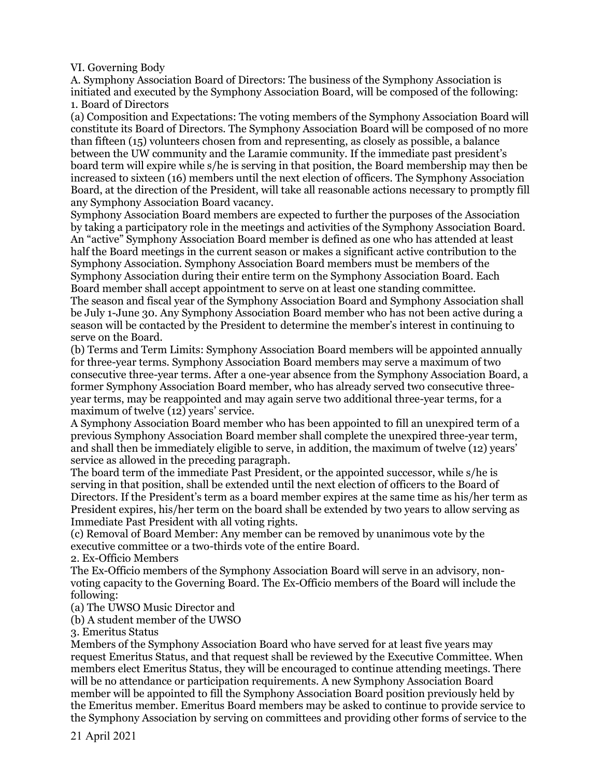VI. Governing Body

A. Symphony Association Board of Directors: The business of the Symphony Association is initiated and executed by the Symphony Association Board, will be composed of the following: 1. Board of Directors

(a) Composition and Expectations: The voting members of the Symphony Association Board will constitute its Board of Directors. The Symphony Association Board will be composed of no more than fifteen (15) volunteers chosen from and representing, as closely as possible, a balance between the UW community and the Laramie community. If the immediate past president's board term will expire while s/he is serving in that position, the Board membership may then be increased to sixteen (16) members until the next election of officers. The Symphony Association Board, at the direction of the President, will take all reasonable actions necessary to promptly fill any Symphony Association Board vacancy.

Symphony Association Board members are expected to further the purposes of the Association by taking a participatory role in the meetings and activities of the Symphony Association Board. An "active" Symphony Association Board member is defined as one who has attended at least half the Board meetings in the current season or makes a significant active contribution to the Symphony Association. Symphony Association Board members must be members of the Symphony Association during their entire term on the Symphony Association Board. Each Board member shall accept appointment to serve on at least one standing committee.

The season and fiscal year of the Symphony Association Board and Symphony Association shall be July 1-June 30. Any Symphony Association Board member who has not been active during a season will be contacted by the President to determine the member's interest in continuing to serve on the Board.

(b) Terms and Term Limits: Symphony Association Board members will be appointed annually for three-year terms. Symphony Association Board members may serve a maximum of two consecutive three-year terms. After a one-year absence from the Symphony Association Board, a former Symphony Association Board member, who has already served two consecutive threeyear terms, may be reappointed and may again serve two additional three-year terms, for a maximum of twelve (12) years' service.

A Symphony Association Board member who has been appointed to fill an unexpired term of a previous Symphony Association Board member shall complete the unexpired three-year term, and shall then be immediately eligible to serve, in addition, the maximum of twelve (12) years' service as allowed in the preceding paragraph.

The board term of the immediate Past President, or the appointed successor, while s/he is serving in that position, shall be extended until the next election of officers to the Board of Directors. If the President's term as a board member expires at the same time as his/her term as President expires, his/her term on the board shall be extended by two years to allow serving as Immediate Past President with all voting rights.

(c) Removal of Board Member: Any member can be removed by unanimous vote by the executive committee or a two-thirds vote of the entire Board.

2. Ex-Officio Members

The Ex-Officio members of the Symphony Association Board will serve in an advisory, nonvoting capacity to the Governing Board. The Ex-Officio members of the Board will include the following:

(a) The UWSO Music Director and

(b) A student member of the UWSO

3. Emeritus Status

Members of the Symphony Association Board who have served for at least five years may request Emeritus Status, and that request shall be reviewed by the Executive Committee. When members elect Emeritus Status, they will be encouraged to continue attending meetings. There will be no attendance or participation requirements. A new Symphony Association Board member will be appointed to fill the Symphony Association Board position previously held by the Emeritus member. Emeritus Board members may be asked to continue to provide service to the Symphony Association by serving on committees and providing other forms of service to the

21 April 2021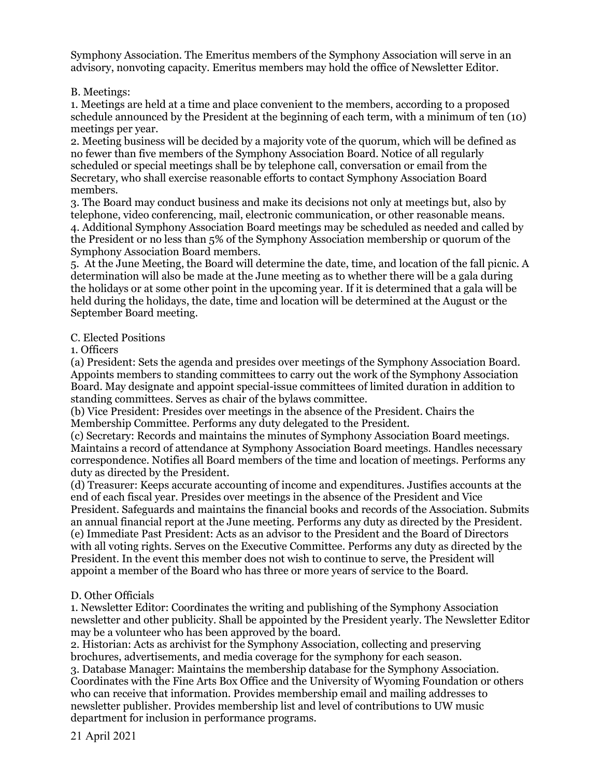Symphony Association. The Emeritus members of the Symphony Association will serve in an advisory, nonvoting capacity. Emeritus members may hold the office of Newsletter Editor.

B. Meetings:

1. Meetings are held at a time and place convenient to the members, according to a proposed schedule announced by the President at the beginning of each term, with a minimum of ten (10) meetings per year.

2. Meeting business will be decided by a majority vote of the quorum, which will be defined as no fewer than five members of the Symphony Association Board. Notice of all regularly scheduled or special meetings shall be by telephone call, conversation or email from the Secretary, who shall exercise reasonable efforts to contact Symphony Association Board members.

3. The Board may conduct business and make its decisions not only at meetings but, also by telephone, video conferencing, mail, electronic communication, or other reasonable means. 4. Additional Symphony Association Board meetings may be scheduled as needed and called by the President or no less than 5% of the Symphony Association membership or quorum of the Symphony Association Board members.

5. At the June Meeting, the Board will determine the date, time, and location of the fall picnic. A determination will also be made at the June meeting as to whether there will be a gala during the holidays or at some other point in the upcoming year. If it is determined that a gala will be held during the holidays, the date, time and location will be determined at the August or the September Board meeting.

## C. Elected Positions

1. Officers

(a) President: Sets the agenda and presides over meetings of the Symphony Association Board. Appoints members to standing committees to carry out the work of the Symphony Association Board. May designate and appoint special-issue committees of limited duration in addition to standing committees. Serves as chair of the bylaws committee.

(b) Vice President: Presides over meetings in the absence of the President. Chairs the Membership Committee. Performs any duty delegated to the President.

(c) Secretary: Records and maintains the minutes of Symphony Association Board meetings. Maintains a record of attendance at Symphony Association Board meetings. Handles necessary correspondence. Notifies all Board members of the time and location of meetings. Performs any duty as directed by the President.

(d) Treasurer: Keeps accurate accounting of income and expenditures. Justifies accounts at the end of each fiscal year. Presides over meetings in the absence of the President and Vice President. Safeguards and maintains the financial books and records of the Association. Submits an annual financial report at the June meeting. Performs any duty as directed by the President. (e) Immediate Past President: Acts as an advisor to the President and the Board of Directors with all voting rights. Serves on the Executive Committee. Performs any duty as directed by the President. In the event this member does not wish to continue to serve, the President will appoint a member of the Board who has three or more years of service to the Board.

## D. Other Officials

1. Newsletter Editor: Coordinates the writing and publishing of the Symphony Association newsletter and other publicity. Shall be appointed by the President yearly. The Newsletter Editor may be a volunteer who has been approved by the board.

2. Historian: Acts as archivist for the Symphony Association, collecting and preserving brochures, advertisements, and media coverage for the symphony for each season.

3. Database Manager: Maintains the membership database for the Symphony Association. Coordinates with the Fine Arts Box Office and the University of Wyoming Foundation or others who can receive that information. Provides membership email and mailing addresses to newsletter publisher. Provides membership list and level of contributions to UW music department for inclusion in performance programs.

21 April 2021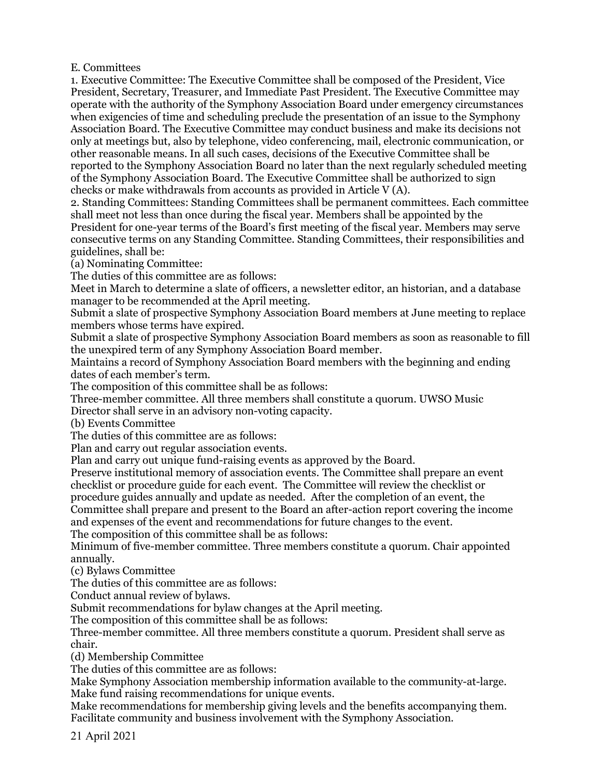#### E. Committees

1. Executive Committee: The Executive Committee shall be composed of the President, Vice President, Secretary, Treasurer, and Immediate Past President. The Executive Committee may operate with the authority of the Symphony Association Board under emergency circumstances when exigencies of time and scheduling preclude the presentation of an issue to the Symphony Association Board. The Executive Committee may conduct business and make its decisions not only at meetings but, also by telephone, video conferencing, mail, electronic communication, or other reasonable means. In all such cases, decisions of the Executive Committee shall be reported to the Symphony Association Board no later than the next regularly scheduled meeting of the Symphony Association Board. The Executive Committee shall be authorized to sign checks or make withdrawals from accounts as provided in Article V (A).

2. Standing Committees: Standing Committees shall be permanent committees. Each committee shall meet not less than once during the fiscal year. Members shall be appointed by the President for one-year terms of the Board's first meeting of the fiscal year. Members may serve consecutive terms on any Standing Committee. Standing Committees, their responsibilities and guidelines, shall be:

(a) Nominating Committee:

The duties of this committee are as follows:

Meet in March to determine a slate of officers, a newsletter editor, an historian, and a database manager to be recommended at the April meeting.

Submit a slate of prospective Symphony Association Board members at June meeting to replace members whose terms have expired.

Submit a slate of prospective Symphony Association Board members as soon as reasonable to fill the unexpired term of any Symphony Association Board member.

Maintains a record of Symphony Association Board members with the beginning and ending dates of each member's term.

The composition of this committee shall be as follows:

Three-member committee. All three members shall constitute a quorum. UWSO Music

Director shall serve in an advisory non-voting capacity.

(b) Events Committee

The duties of this committee are as follows:

Plan and carry out regular association events.

Plan and carry out unique fund-raising events as approved by the Board.

Preserve institutional memory of association events. The Committee shall prepare an event checklist or procedure guide for each event. The Committee will review the checklist or procedure guides annually and update as needed. After the completion of an event, the Committee shall prepare and present to the Board an after-action report covering the income and expenses of the event and recommendations for future changes to the event. The composition of this committee shall be as follows:

Minimum of five-member committee. Three members constitute a quorum. Chair appointed annually.

(c) Bylaws Committee

The duties of this committee are as follows:

Conduct annual review of bylaws.

Submit recommendations for bylaw changes at the April meeting.

The composition of this committee shall be as follows:

Three-member committee. All three members constitute a quorum. President shall serve as chair.

(d) Membership Committee

The duties of this committee are as follows:

Make Symphony Association membership information available to the community-at-large. Make fund raising recommendations for unique events.

Make recommendations for membership giving levels and the benefits accompanying them. Facilitate community and business involvement with the Symphony Association.

21 April 2021